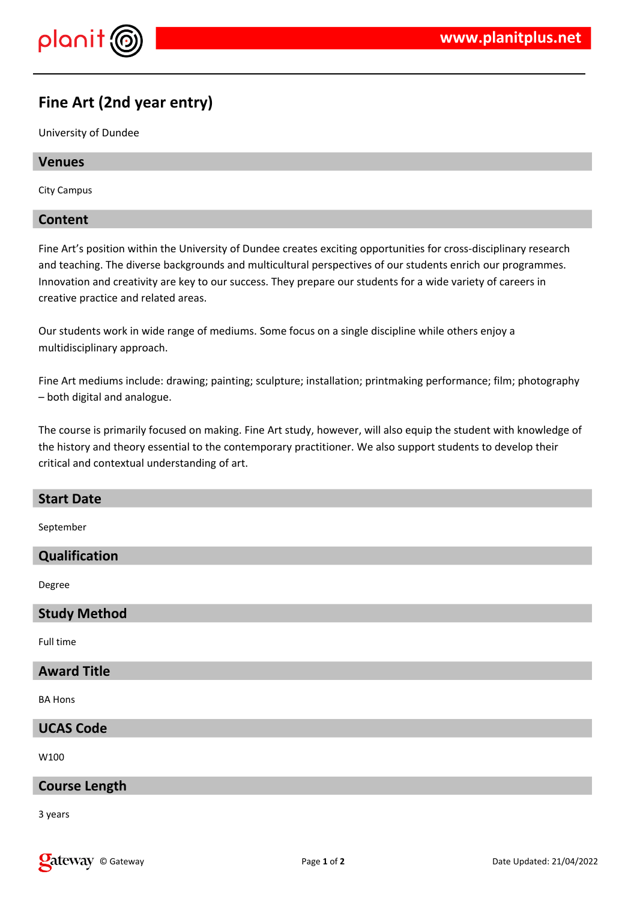

# **Fine Art (2nd year entry)**

University of Dundee

## **Venues**

City Campus

# **Content**

Fine Art's position within the University of Dundee creates exciting opportunities for cross-disciplinary research and teaching. The diverse backgrounds and multicultural perspectives of our students enrich our programmes. Innovation and creativity are key to our success. They prepare our students for a wide variety of careers in creative practice and related areas.

Our students work in wide range of mediums. Some focus on a single discipline while others enjoy a multidisciplinary approach.

Fine Art mediums include: drawing; painting; sculpture; installation; printmaking performance; film; photography – both digital and analogue.

The course is primarily focused on making. Fine Art study, however, will also equip the student with knowledge of the history and theory essential to the contemporary practitioner. We also support students to develop their critical and contextual understanding of art.

#### **Start Date**

September

#### **Qualification**

Degree

#### **Study Method**

Full time

# **Award Title**

BA Hons

#### **UCAS Code**

W100

#### **Course Length**

3 years